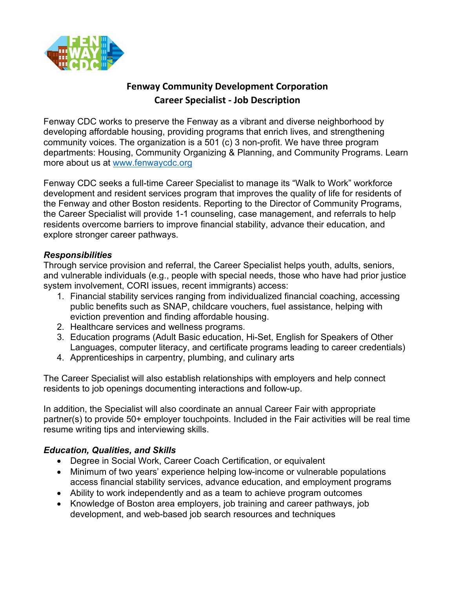

## **Fenway Community Development Corporation Career Specialist - Job Description**

Fenway CDC works to preserve the Fenway as a vibrant and diverse neighborhood by developing affordable housing, providing programs that enrich lives, and strengthening community voices. The organization is a 501 (c) 3 non-profit. We have three program departments: Housing, Community Organizing & Planning, and Community Programs. Learn more about us at<www.fenwaycdc.org>

Fenway CDC seeks a full-time Career Specialist to manage its "Walk to Work" workforce development and resident services program that improves the quality of life for residents of the Fenway and other Boston residents. Reporting to the Director of Community Programs, the Career Specialist will provide 1-1 counseling, case management, and referrals to help residents overcome barriers to improve financial stability, advance their education, and explore stronger career pathways.

## *Responsibilities*

Through service provision and referral, the Career Specialist helps youth, adults, seniors, and vulnerable individuals (e.g., people with special needs, those who have had prior justice system involvement, CORI issues, recent immigrants) access:

- 1. Financial stability services ranging from individualized financial coaching, accessing public benefits such as SNAP, childcare vouchers, fuel assistance, helping with eviction prevention and finding affordable housing.
- 2. Healthcare services and wellness programs.
- 3. Education programs (Adult Basic education, Hi-Set, English for Speakers of Other Languages, computer literacy, and certificate programs leading to career credentials)
- 4. Apprenticeships in carpentry, plumbing, and culinary arts

The Career Specialist will also establish relationships with employers and help connect residents to job openings documenting interactions and follow-up.

In addition, the Specialist will also coordinate an annual Career Fair with appropriate partner(s) to provide 50+ employer touchpoints. Included in the Fair activities will be real time resume writing tips and interviewing skills.

## *Education, Qualities, and Skills*

- Degree in Social Work, Career Coach Certification, or equivalent
- Minimum of two years' experience helping low-income or vulnerable populations access financial stability services, advance education, and employment programs
- Ability to work independently and as a team to achieve program outcomes
- Knowledge of Boston area employers, job training and career pathways, job development, and web-based job search resources and techniques